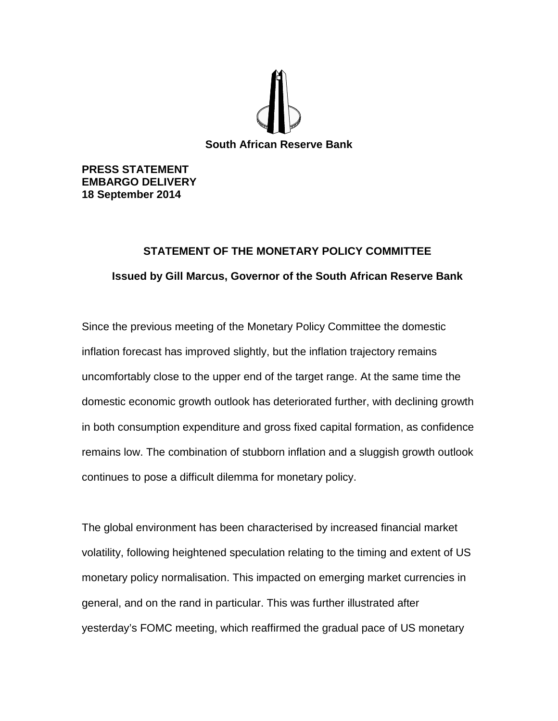

**PRESS STATEMENT EMBARGO DELIVERY 18 September 2014**

## **STATEMENT OF THE MONETARY POLICY COMMITTEE Issued by Gill Marcus, Governor of the South African Reserve Bank**

Since the previous meeting of the Monetary Policy Committee the domestic inflation forecast has improved slightly, but the inflation trajectory remains uncomfortably close to the upper end of the target range. At the same time the domestic economic growth outlook has deteriorated further, with declining growth in both consumption expenditure and gross fixed capital formation, as confidence remains low. The combination of stubborn inflation and a sluggish growth outlook continues to pose a difficult dilemma for monetary policy.

The global environment has been characterised by increased financial market volatility, following heightened speculation relating to the timing and extent of US monetary policy normalisation. This impacted on emerging market currencies in general, and on the rand in particular. This was further illustrated after yesterday's FOMC meeting, which reaffirmed the gradual pace of US monetary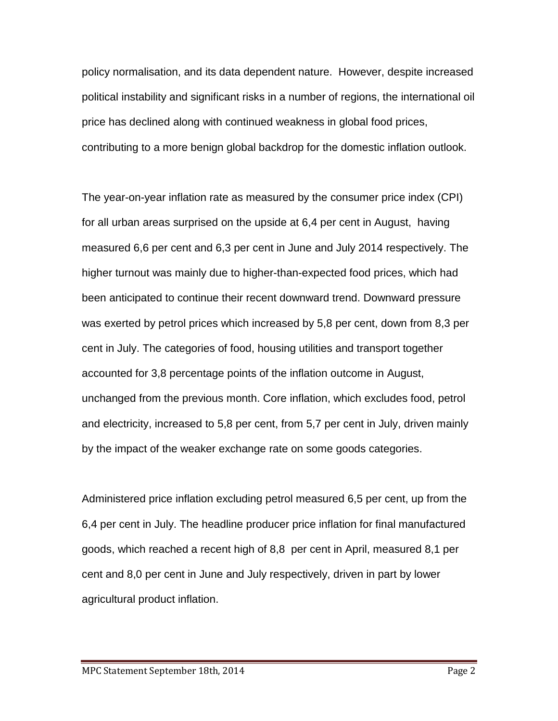policy normalisation, and its data dependent nature. However, despite increased political instability and significant risks in a number of regions, the international oil price has declined along with continued weakness in global food prices, contributing to a more benign global backdrop for the domestic inflation outlook.

The year-on-year inflation rate as measured by the consumer price index (CPI) for all urban areas surprised on the upside at 6,4 per cent in August, having measured 6,6 per cent and 6,3 per cent in June and July 2014 respectively. The higher turnout was mainly due to higher-than-expected food prices, which had been anticipated to continue their recent downward trend. Downward pressure was exerted by petrol prices which increased by 5,8 per cent, down from 8,3 per cent in July. The categories of food, housing utilities and transport together accounted for 3,8 percentage points of the inflation outcome in August, unchanged from the previous month. Core inflation, which excludes food, petrol and electricity, increased to 5,8 per cent, from 5,7 per cent in July, driven mainly by the impact of the weaker exchange rate on some goods categories.

Administered price inflation excluding petrol measured 6,5 per cent, up from the 6,4 per cent in July. The headline producer price inflation for final manufactured goods, which reached a recent high of 8,8 per cent in April, measured 8,1 per cent and 8,0 per cent in June and July respectively, driven in part by lower agricultural product inflation.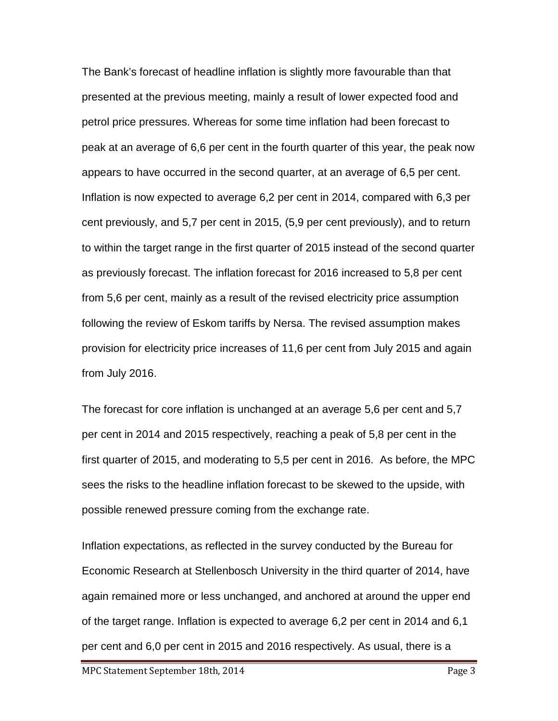The Bank's forecast of headline inflation is slightly more favourable than that presented at the previous meeting, mainly a result of lower expected food and petrol price pressures. Whereas for some time inflation had been forecast to peak at an average of 6,6 per cent in the fourth quarter of this year, the peak now appears to have occurred in the second quarter, at an average of 6,5 per cent. Inflation is now expected to average 6,2 per cent in 2014, compared with 6,3 per cent previously, and 5,7 per cent in 2015, (5,9 per cent previously), and to return to within the target range in the first quarter of 2015 instead of the second quarter as previously forecast. The inflation forecast for 2016 increased to 5,8 per cent from 5,6 per cent, mainly as a result of the revised electricity price assumption following the review of Eskom tariffs by Nersa. The revised assumption makes provision for electricity price increases of 11,6 per cent from July 2015 and again from July 2016.

The forecast for core inflation is unchanged at an average 5,6 per cent and 5,7 per cent in 2014 and 2015 respectively, reaching a peak of 5,8 per cent in the first quarter of 2015, and moderating to 5,5 per cent in 2016. As before, the MPC sees the risks to the headline inflation forecast to be skewed to the upside, with possible renewed pressure coming from the exchange rate.

Inflation expectations, as reflected in the survey conducted by the Bureau for Economic Research at Stellenbosch University in the third quarter of 2014, have again remained more or less unchanged, and anchored at around the upper end of the target range. Inflation is expected to average 6,2 per cent in 2014 and 6,1 per cent and 6,0 per cent in 2015 and 2016 respectively. As usual, there is a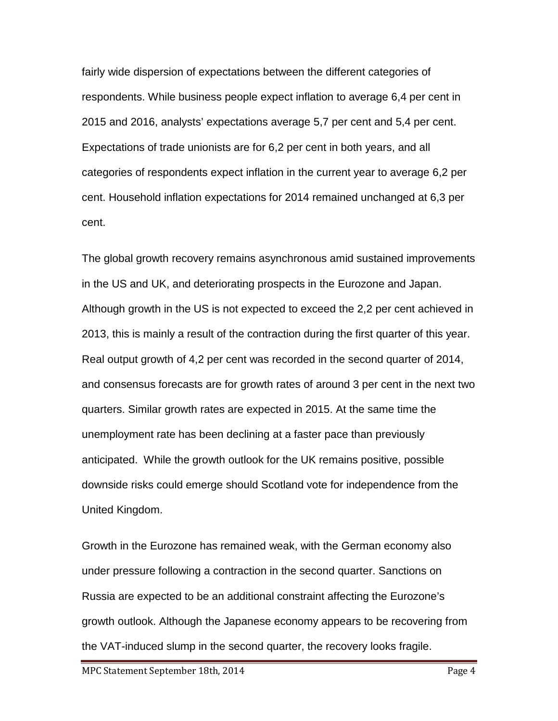fairly wide dispersion of expectations between the different categories of respondents. While business people expect inflation to average 6,4 per cent in 2015 and 2016, analysts' expectations average 5,7 per cent and 5,4 per cent. Expectations of trade unionists are for 6,2 per cent in both years, and all categories of respondents expect inflation in the current year to average 6,2 per cent. Household inflation expectations for 2014 remained unchanged at 6,3 per cent.

The global growth recovery remains asynchronous amid sustained improvements in the US and UK, and deteriorating prospects in the Eurozone and Japan. Although growth in the US is not expected to exceed the 2,2 per cent achieved in 2013, this is mainly a result of the contraction during the first quarter of this year. Real output growth of 4,2 per cent was recorded in the second quarter of 2014, and consensus forecasts are for growth rates of around 3 per cent in the next two quarters. Similar growth rates are expected in 2015. At the same time the unemployment rate has been declining at a faster pace than previously anticipated. While the growth outlook for the UK remains positive, possible downside risks could emerge should Scotland vote for independence from the United Kingdom.

Growth in the Eurozone has remained weak, with the German economy also under pressure following a contraction in the second quarter. Sanctions on Russia are expected to be an additional constraint affecting the Eurozone's growth outlook. Although the Japanese economy appears to be recovering from the VAT-induced slump in the second quarter, the recovery looks fragile.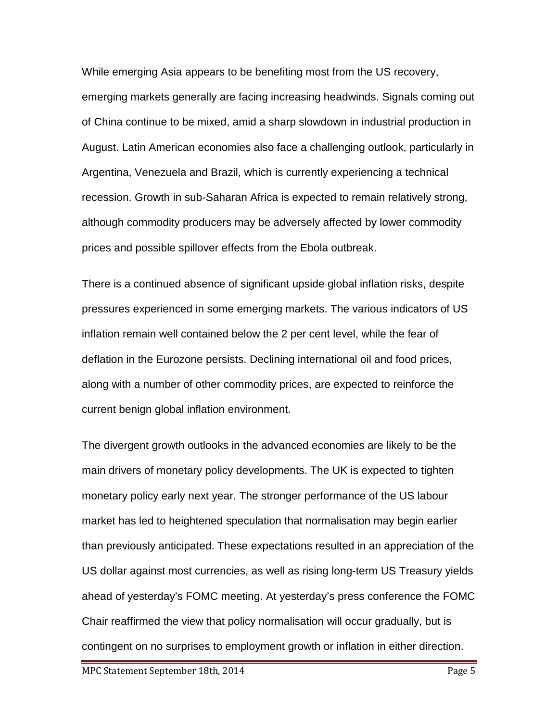While emerging Asia appears to be benefiting most from the US recovery, emerging markets generally are facing increasing headwinds. Signals coming out of China continue to be mixed, amid a sharp slowdown in industrial production in August. Latin American economies also face a challenging outlook, particularly in Argentina, Venezuela and Brazil, which is currently experiencing a technical recession. Growth in sub-Saharan Africa is expected to remain relatively strong, although commodity producers may be adversely affected by lower commodity prices and possible spillover effects from the Ebola outbreak.

There is a continued absence of significant upside global inflation risks, despite pressures experienced in some emerging markets. The various indicators of US inflation remain well contained below the 2 per cent level, while the fear of deflation in the Eurozone persists. Declining international oil and food prices, along with a number of other commodity prices, are expected to reinforce the current benign global inflation environment.

The divergent growth outlooks in the advanced economies are likely to be the main drivers of monetary policy developments. The UK is expected to tighten monetary policy early next year. The stronger performance of the US labour market has led to heightened speculation that normalisation may begin earlier than previously anticipated. These expectations resulted in an appreciation of the US dollar against most currencies, as well as rising long-term US Treasury yields ahead of yesterday's FOMC meeting. At yesterday's press conference the FOMC Chair reaffirmed the view that policy normalisation will occur gradually, but is contingent on no surprises to employment growth or inflation in either direction.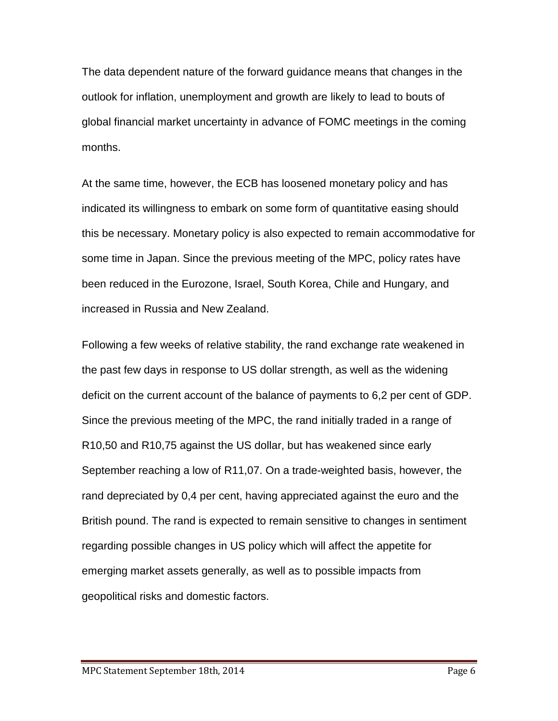The data dependent nature of the forward guidance means that changes in the outlook for inflation, unemployment and growth are likely to lead to bouts of global financial market uncertainty in advance of FOMC meetings in the coming months.

At the same time, however, the ECB has loosened monetary policy and has indicated its willingness to embark on some form of quantitative easing should this be necessary. Monetary policy is also expected to remain accommodative for some time in Japan. Since the previous meeting of the MPC, policy rates have been reduced in the Eurozone, Israel, South Korea, Chile and Hungary, and increased in Russia and New Zealand.

Following a few weeks of relative stability, the rand exchange rate weakened in the past few days in response to US dollar strength, as well as the widening deficit on the current account of the balance of payments to 6,2 per cent of GDP. Since the previous meeting of the MPC, the rand initially traded in a range of R10,50 and R10,75 against the US dollar, but has weakened since early September reaching a low of R11,07. On a trade-weighted basis, however, the rand depreciated by 0,4 per cent, having appreciated against the euro and the British pound. The rand is expected to remain sensitive to changes in sentiment regarding possible changes in US policy which will affect the appetite for emerging market assets generally, as well as to possible impacts from geopolitical risks and domestic factors.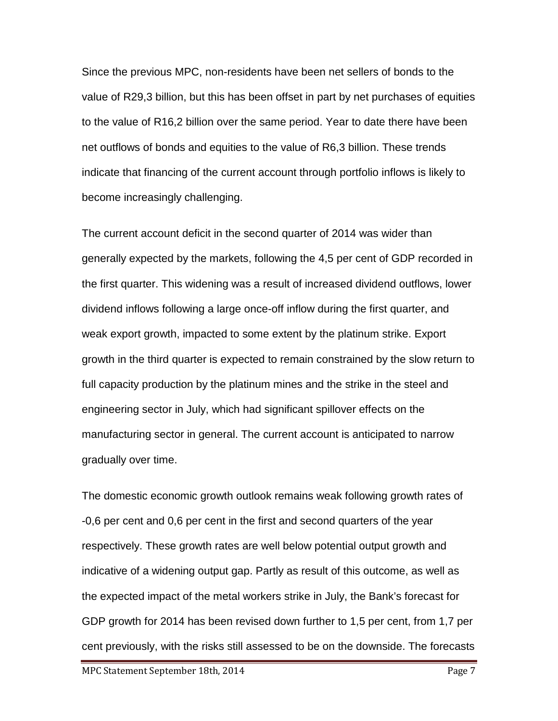Since the previous MPC, non-residents have been net sellers of bonds to the value of R29,3 billion, but this has been offset in part by net purchases of equities to the value of R16,2 billion over the same period. Year to date there have been net outflows of bonds and equities to the value of R6,3 billion. These trends indicate that financing of the current account through portfolio inflows is likely to become increasingly challenging.

The current account deficit in the second quarter of 2014 was wider than generally expected by the markets, following the 4,5 per cent of GDP recorded in the first quarter. This widening was a result of increased dividend outflows, lower dividend inflows following a large once-off inflow during the first quarter, and weak export growth, impacted to some extent by the platinum strike. Export growth in the third quarter is expected to remain constrained by the slow return to full capacity production by the platinum mines and the strike in the steel and engineering sector in July, which had significant spillover effects on the manufacturing sector in general. The current account is anticipated to narrow gradually over time.

The domestic economic growth outlook remains weak following growth rates of -0,6 per cent and 0,6 per cent in the first and second quarters of the year respectively. These growth rates are well below potential output growth and indicative of a widening output gap. Partly as result of this outcome, as well as the expected impact of the metal workers strike in July, the Bank's forecast for GDP growth for 2014 has been revised down further to 1,5 per cent, from 1,7 per cent previously, with the risks still assessed to be on the downside. The forecasts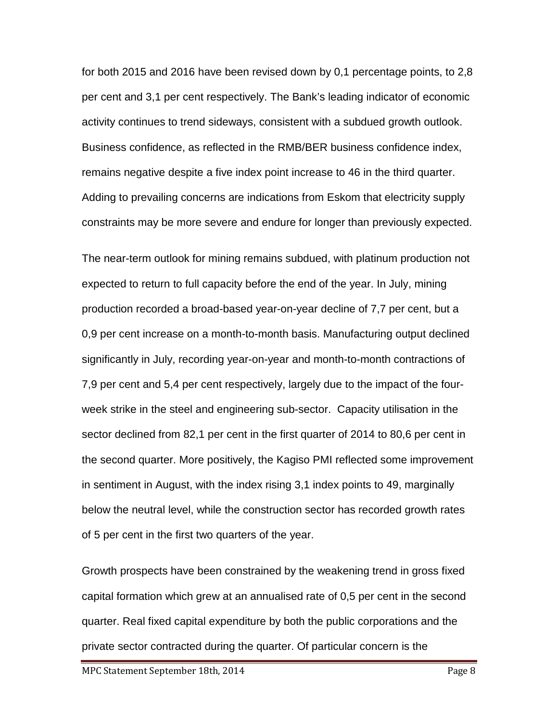for both 2015 and 2016 have been revised down by 0,1 percentage points, to 2,8 per cent and 3,1 per cent respectively. The Bank's leading indicator of economic activity continues to trend sideways, consistent with a subdued growth outlook. Business confidence, as reflected in the RMB/BER business confidence index, remains negative despite a five index point increase to 46 in the third quarter. Adding to prevailing concerns are indications from Eskom that electricity supply constraints may be more severe and endure for longer than previously expected.

The near-term outlook for mining remains subdued, with platinum production not expected to return to full capacity before the end of the year. In July, mining production recorded a broad-based year-on-year decline of 7,7 per cent, but a 0,9 per cent increase on a month-to-month basis. Manufacturing output declined significantly in July, recording year-on-year and month-to-month contractions of 7,9 per cent and 5,4 per cent respectively, largely due to the impact of the fourweek strike in the steel and engineering sub-sector. Capacity utilisation in the sector declined from 82,1 per cent in the first quarter of 2014 to 80,6 per cent in the second quarter. More positively, the Kagiso PMI reflected some improvement in sentiment in August, with the index rising 3,1 index points to 49, marginally below the neutral level, while the construction sector has recorded growth rates of 5 per cent in the first two quarters of the year.

Growth prospects have been constrained by the weakening trend in gross fixed capital formation which grew at an annualised rate of 0,5 per cent in the second quarter. Real fixed capital expenditure by both the public corporations and the private sector contracted during the quarter. Of particular concern is the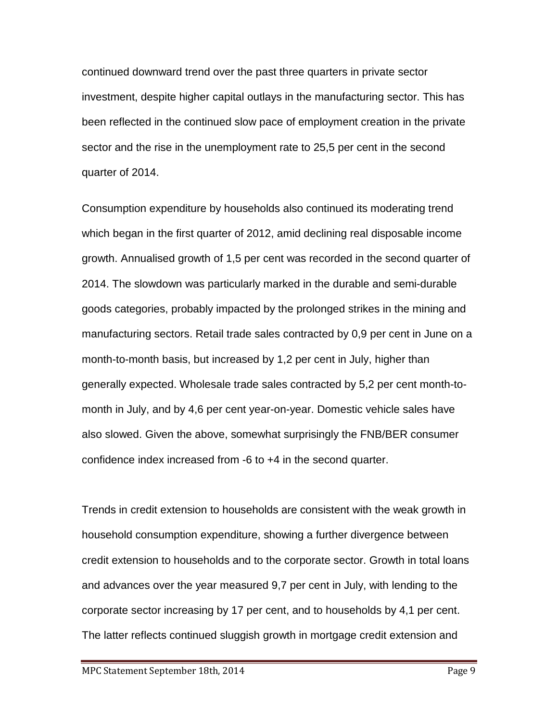continued downward trend over the past three quarters in private sector investment, despite higher capital outlays in the manufacturing sector. This has been reflected in the continued slow pace of employment creation in the private sector and the rise in the unemployment rate to 25,5 per cent in the second quarter of 2014.

Consumption expenditure by households also continued its moderating trend which began in the first quarter of 2012, amid declining real disposable income growth. Annualised growth of 1,5 per cent was recorded in the second quarter of 2014. The slowdown was particularly marked in the durable and semi-durable goods categories, probably impacted by the prolonged strikes in the mining and manufacturing sectors. Retail trade sales contracted by 0,9 per cent in June on a month-to-month basis, but increased by 1,2 per cent in July, higher than generally expected. Wholesale trade sales contracted by 5,2 per cent month-tomonth in July, and by 4,6 per cent year-on-year. Domestic vehicle sales have also slowed. Given the above, somewhat surprisingly the FNB/BER consumer confidence index increased from -6 to +4 in the second quarter.

Trends in credit extension to households are consistent with the weak growth in household consumption expenditure, showing a further divergence between credit extension to households and to the corporate sector. Growth in total loans and advances over the year measured 9,7 per cent in July, with lending to the corporate sector increasing by 17 per cent, and to households by 4,1 per cent. The latter reflects continued sluggish growth in mortgage credit extension and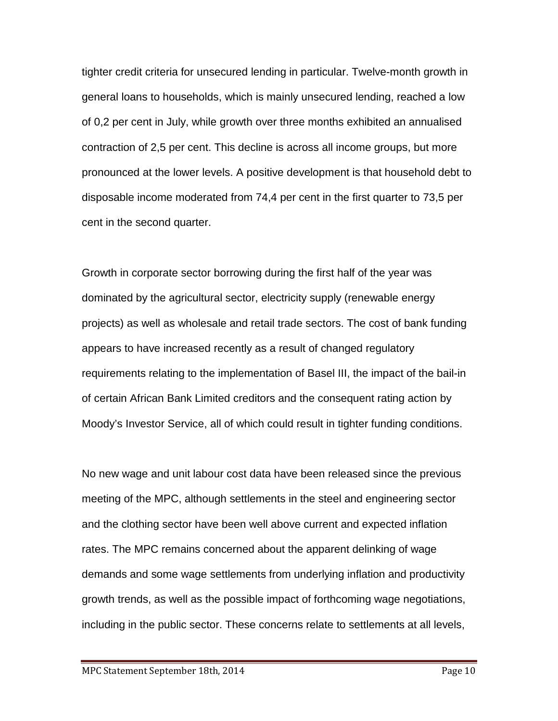tighter credit criteria for unsecured lending in particular. Twelve-month growth in general loans to households, which is mainly unsecured lending, reached a low of 0,2 per cent in July, while growth over three months exhibited an annualised contraction of 2,5 per cent. This decline is across all income groups, but more pronounced at the lower levels. A positive development is that household debt to disposable income moderated from 74,4 per cent in the first quarter to 73,5 per cent in the second quarter.

Growth in corporate sector borrowing during the first half of the year was dominated by the agricultural sector, electricity supply (renewable energy projects) as well as wholesale and retail trade sectors. The cost of bank funding appears to have increased recently as a result of changed regulatory requirements relating to the implementation of Basel III, the impact of the bail-in of certain African Bank Limited creditors and the consequent rating action by Moody's Investor Service, all of which could result in tighter funding conditions.

No new wage and unit labour cost data have been released since the previous meeting of the MPC, although settlements in the steel and engineering sector and the clothing sector have been well above current and expected inflation rates. The MPC remains concerned about the apparent delinking of wage demands and some wage settlements from underlying inflation and productivity growth trends, as well as the possible impact of forthcoming wage negotiations, including in the public sector. These concerns relate to settlements at all levels,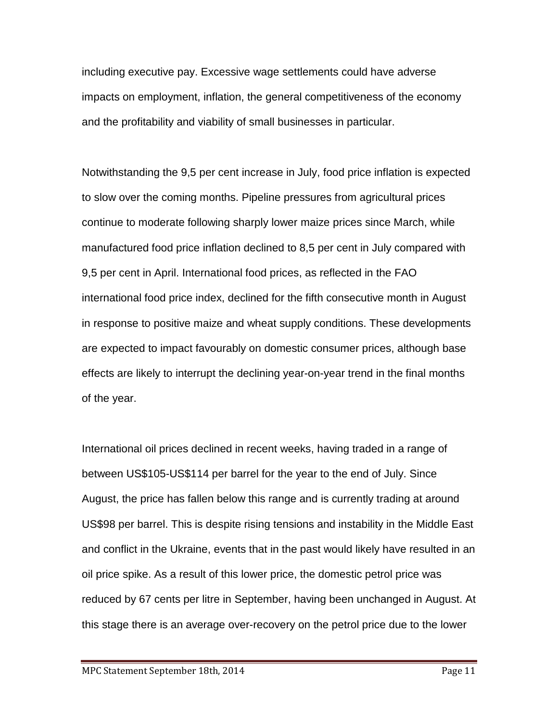including executive pay. Excessive wage settlements could have adverse impacts on employment, inflation, the general competitiveness of the economy and the profitability and viability of small businesses in particular.

Notwithstanding the 9,5 per cent increase in July, food price inflation is expected to slow over the coming months. Pipeline pressures from agricultural prices continue to moderate following sharply lower maize prices since March, while manufactured food price inflation declined to 8,5 per cent in July compared with 9,5 per cent in April. International food prices, as reflected in the FAO international food price index, declined for the fifth consecutive month in August in response to positive maize and wheat supply conditions. These developments are expected to impact favourably on domestic consumer prices, although base effects are likely to interrupt the declining year-on-year trend in the final months of the year.

International oil prices declined in recent weeks, having traded in a range of between US\$105-US\$114 per barrel for the year to the end of July. Since August, the price has fallen below this range and is currently trading at around US\$98 per barrel. This is despite rising tensions and instability in the Middle East and conflict in the Ukraine, events that in the past would likely have resulted in an oil price spike. As a result of this lower price, the domestic petrol price was reduced by 67 cents per litre in September, having been unchanged in August. At this stage there is an average over-recovery on the petrol price due to the lower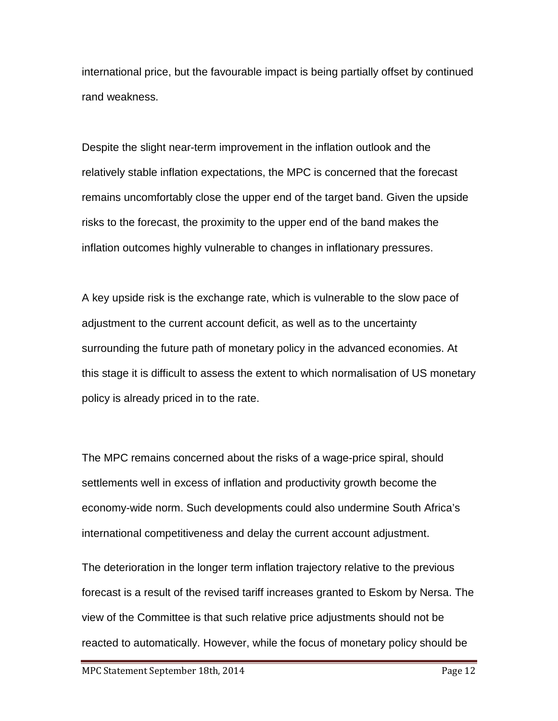international price, but the favourable impact is being partially offset by continued rand weakness.

Despite the slight near-term improvement in the inflation outlook and the relatively stable inflation expectations, the MPC is concerned that the forecast remains uncomfortably close the upper end of the target band. Given the upside risks to the forecast, the proximity to the upper end of the band makes the inflation outcomes highly vulnerable to changes in inflationary pressures.

A key upside risk is the exchange rate, which is vulnerable to the slow pace of adjustment to the current account deficit, as well as to the uncertainty surrounding the future path of monetary policy in the advanced economies. At this stage it is difficult to assess the extent to which normalisation of US monetary policy is already priced in to the rate.

The MPC remains concerned about the risks of a wage-price spiral, should settlements well in excess of inflation and productivity growth become the economy-wide norm. Such developments could also undermine South Africa's international competitiveness and delay the current account adjustment.

The deterioration in the longer term inflation trajectory relative to the previous forecast is a result of the revised tariff increases granted to Eskom by Nersa. The view of the Committee is that such relative price adjustments should not be reacted to automatically. However, while the focus of monetary policy should be